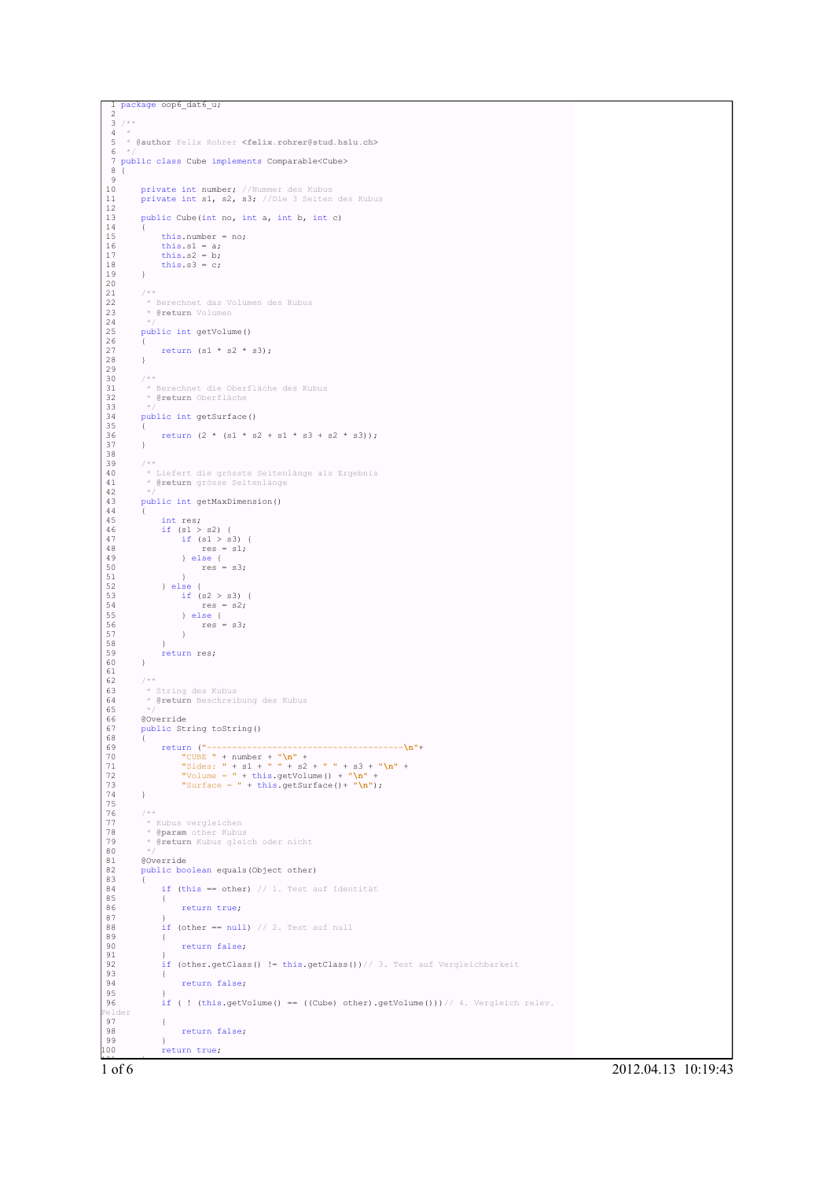```
1 package oop6_dat6_u;
2
 \frac{3}{4} /**
 4 *
5 * @author Felix Rohrer <felix.rohrer@stud.hslu.ch>
 6 +7 public class Cube implements Comparable<Cube>
8 {
10private int number; //Nummer des Kubus
        private int s1, s2, s3; //Die 3 Seiten des Kubus
11<br>12public Cube(int no, int a, int b, int c)
13<br>14<br>15this.number = no;16 this.s1 = a;<br>17 this.s2 = b;
        this.s3 = c;
19 }
20
        722 * Berechnet das Volumen des Kubus
23 * @return Volumen
\begin{array}{l} 21 \\ 22 \\ 23 \\ 24 \\ 25 \end{array}public int getVolume()
26 {
        return (s1 * s2 * s3);
28 }
29
        7 * *31 * Berechnet die Oberfläche des Kubus
32 * @return Oberfläche
33 * /public int getSurface()
35 {
        return (2 * (s1 * s2 + s1 * s3 + s2 * s3));37 }
38
39 /**<br>40 * Liefert die grösste Seitenlänge als Ergebnis<br>41 * @return grösse Seitenlänge<br>42 */
        public int getMaxDimension()
44 {
45 int res;
46 if (s1 > s2) {
47 if (s1 > s3) {
48 res = s1;
49 } else {
50 res = s3;
51 }
52 } else {
53 if (s2 > s3) {
54 res = s2;
55 } else {<br>
56 <br>
57 }
58 }
        \intreturn res;
60 }
61
62 /**<br>
63 *<br>
64 *
63 * String des Kubus
64 * @return Beschreibung des Kubus
65 */
        66 @Override
        public String toString()
```


1 of 6 2012.04.13 10:19:43

of 6

}

return true;

85<br>86

 $\begin{array}{c} 87 \\ 88 \end{array}$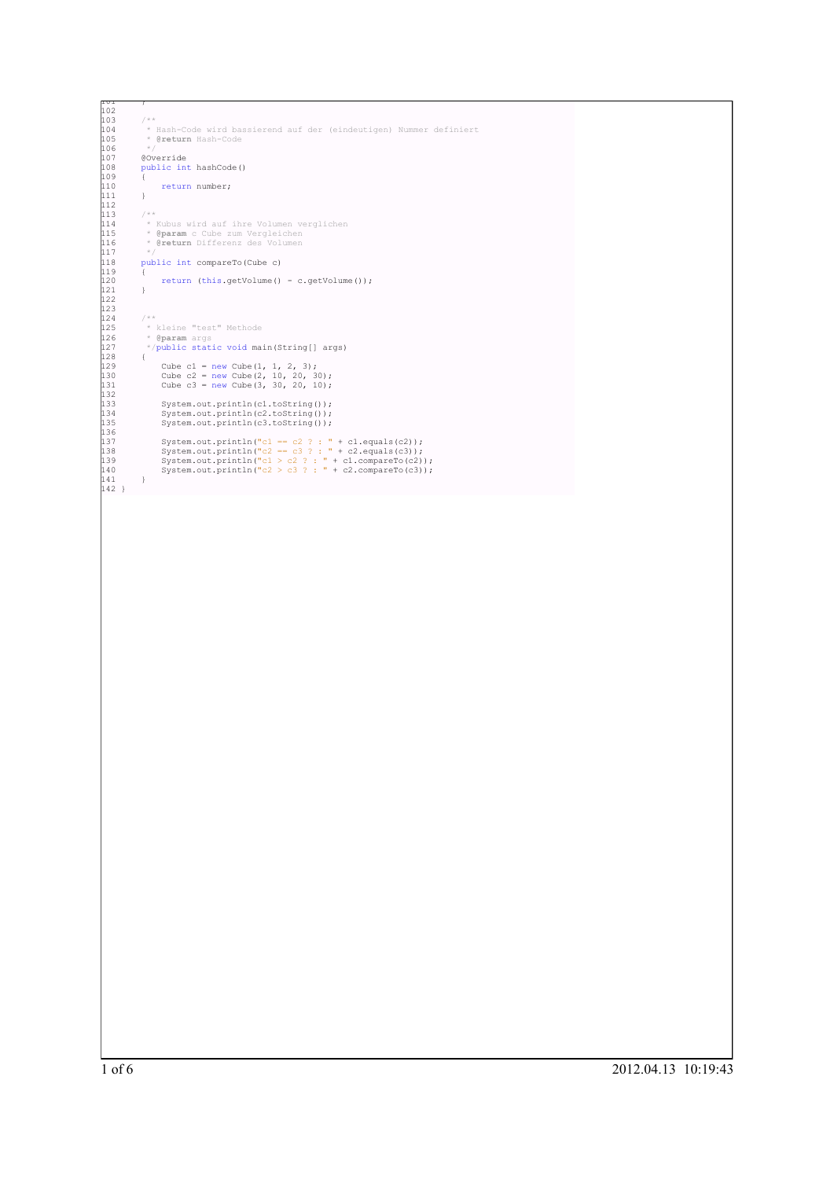```
101 )<br>102
103 /**
104 * Hash-Code wird bassierend auf der (eindeutigen) Nummer definiert
105 * @return Hash-Code
106 */
             107 @Override
             public int hashCode()
109 {
             110 return number;
111 }
112
113 /**<br>114 * Kubus wird auf ihre Volumen verglichen<br>115 * @param c Cube zum Vergleichen<br>116 * (return Differenz des Volumen<br>117 */
             public int compareTo(Cube c)
119 {
             return (this.getVolume() - c.getVolume());<br>}
121 }
122
123
124 /**<br>125 * kleine "test" Methode<br>126 * @param args<br>127 */public static void main(String[] args)
128 {
129 Cube c1 = new Cube(1, 1, 2, 3);
130 Cube c2 = new Cube(2, 10, 20, 30);
131 Cube c3 = new Cube(3, 30, 20, 10);
132
133 System.out.println(c1.toString());
134 System.out.println(c2.toString());
135 System.out.println(c3.toString());
133<br>133<br>134<br>135<br>136<br>137
137 System.out.println("cl == c2 ? : " + cl.equals(c2));<br>138 System.out.println("c2 == c3 ? : " + c2.equals(c3));<br>139 System.out.println("cl > c2 ? : " + c1.compareTo(c2));<br>140 System.out.println("c2 > c3 ? : " + c2.compa
141 }
142 }
```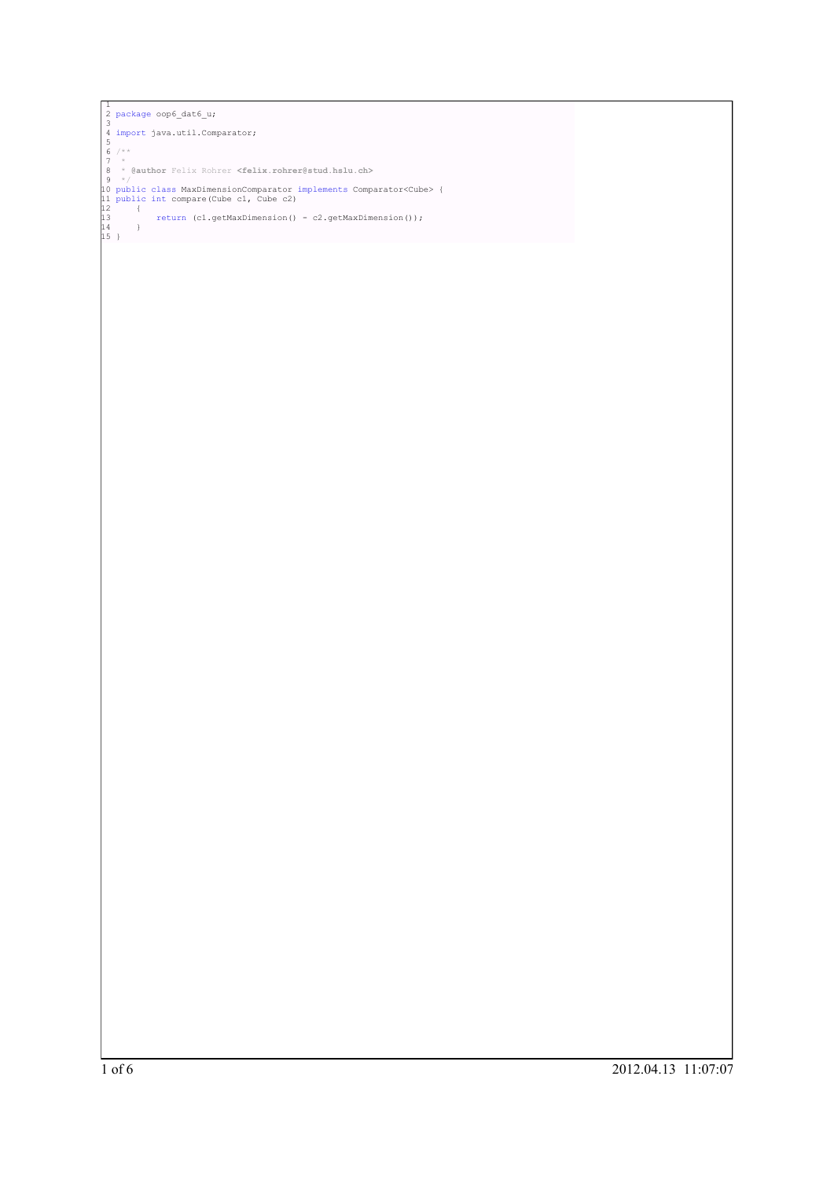```
]<br>
2 package oop6_dat6_u;<br>
3<br>
4 import java.util.Comparator;<br>
5<br>
6 /**<br>
7 *<br>
8 * @author Felix Rohrer <felix.rohrer@stud.hslu.ch><br>
8 * (<br>
10 public class MaxDimensionComparator implements Comparator<Cube> {<br>
11 public int
```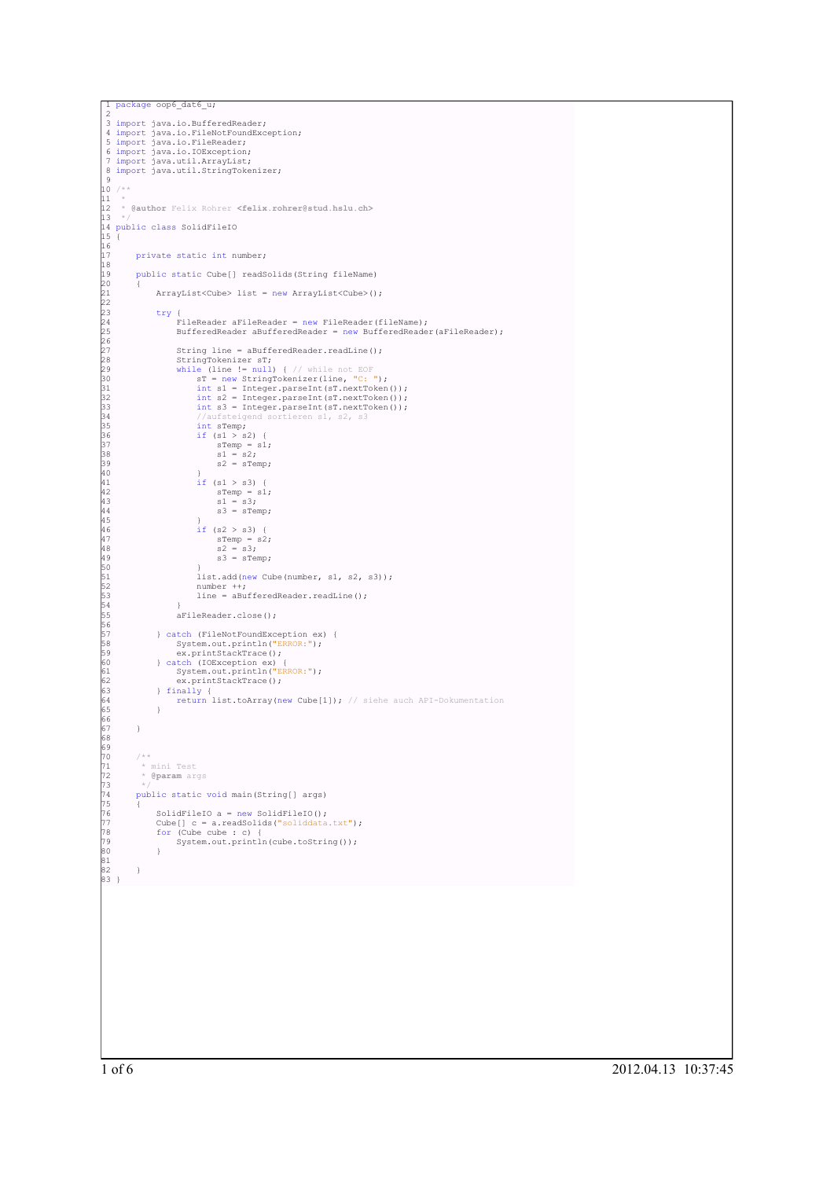```
package oop6_dat6_u;
  2<br>
3 import java.io.FileNotFoundException;<br>
5 import java.io.FileReader;<br>
6 import java.io.IOException;<br>
7 import java.util.ArrayList;<br>
8 import java.util.StringTokenizer;
 -910^{7} /**
\frac{1}{12}12 * @author Felix Rohrer <felix.rohrer@stud.hslu.ch>
13 */<br>14 public class SolidFileIO<br>15 {<br>17 private static int number;<br>18
          19 public static Cube[] readSolids(String fileName)
20 {
                ArrayList<Cube> list = new ArrayList<Cube>();
21<br>22<br>23<br>24<br>25
23 try {
24 FileReader aFileReader = new FileReader(fileName);
25 BufferedReader aBufferedReader = new BufferedReader(aFileReader);
26<br>27
                      String line = aBufferedReader.readLine();
Xamp StringTokenizer sT;<br>
while (line != null) { // while not EOF<br>
30 sT = new StringTokenizer (line, "C: ");<br>
31 int s1 = Integer.parseInt (sT.nextToken());<br>
int s2 = Integer.parseInt (sT.nextToken());<br>
int s2 = Integer.p
                            int sTemp;
36 if (s1 > s2) {<br>37 sTemp = s1;<br>38 s1 = s2;<br>39 s2 = sTemp;
40 }
41 if (s1 > s3) {<br>
42 sTemp = s1;<br>
44 s1 = s3;<br>
53 = sTemp;
45 }
                            if (s2 > s3) {
47 sTemp = s2;
48 s2 = s3;
                                   s3 = sTemp;50 }
                            iist.add(new Cube(number, s1, s2, s3));
52 number ++;
53 line = aBufferedReader.readLine();
54 }
                      aFileReader.close();
556789016
               57 } catch (FileNotFoundException ex) {
58 System.out.println("ERROR:");
59 ex.printStackTrace();
60 } catch (IOException ex) {
61 System.out.println("ERROR:");
62 ex.printStackTrace();
63 } finally {
64 return list.toArray(new Cube[1]); // siehe auch API-Dokumentation
65 }
66
67 }
68
69
         7 * *71 * mini Test
72 * @param args
73 */
          public static void main(String[] args)
75 {
76 SolidFileIO a = new SolidFileIO();
77 Cube[] c = a.readSolids("soliddata.txt");
78 for (Cube cube : c) {
                System.out.println(cube.toString());
80 }
81
82 }
83 }
```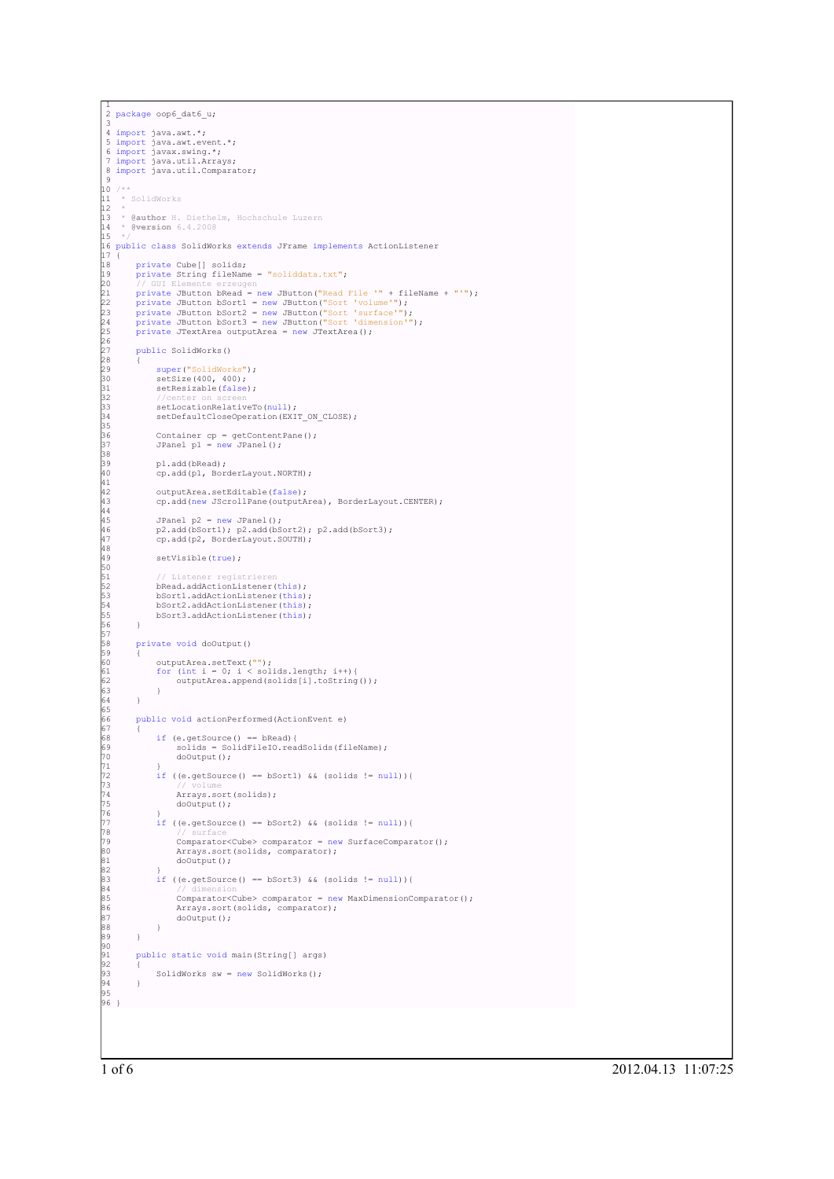```
1
2 package oop6_dat6_u;
 3
4 import java.awt.*;
 5 import java.awt.event.*;
6 import javax.swing.*;
7 import java.util.Arrays;
 8 import java.util.Comparator;
 \sim\frac{10}{11} /**
    * SolidWorks
1213 * @author H. Diethelm, Hochschule Luzern
14 * @version 6.4.2008
\frac{1}{13}<br>\frac{1}{4}<br>\frac{1}{5}16 public class SolidWorks extends JFrame implements ActionListener
17 {
18 private Cube[] solids;
19 private String fileName = "soliddata.txt";
% // GUI Elemente erzeugen<br>20 // GUI Elemente erzeugen<br>22 private JButton bRead = new JButton ("Read File '" + fileName + "'");<br>23 private JButton bSort2 = new JButton ("Sort 'surface'");<br>24 private JButton bSort2 = new JB
26<br>27
         public SolidWorks()
28 {
29 super("SolidWorks");<br>30 setSize(400, 400);<br>31 setResizable(false);
32 //center on screen
33 setLocationRelativeTo(null);
              setDefaultCloseOperation(EXIT_ON_CLOSE);
35
36 Container cp = getContentPane();
37 JPanel p1 = new JPanel();
38
              p1.add(bRead);
              cp.add(p1, BorderLayout.NORTH);
41
              outputArea.setEditable(false);
              cp.add(new JScrollPane(outputArea), BorderLayout.CENTER);
44
              JPanel p2 = new JPanel():
              p2.add(bSort1); p2.add(bSort2); p2.add(bSort3);cp.add(p2, BorderLayout.SOUTH);
48
              setVisible(true);
50
51 // Listener registrieren
52 bRead.addActionListener(this);
              53 bSort1.addActionListener(this);
               bSort2.addActionListener(this);
         bSort3.addActionListener(this);
56 }
57
         private void doOutput()
58<br>59<br>60<br>61<br>62
60 outputArea.setText("");
61 for (int i = 0; i < solids.length; i++){
62 outputArea.append(solids[i].toString());
63 }
64 }
65
         66 public void actionPerformed(ActionEvent e)
67 {
68 if (e.getSource() == bRead){
69 solids = SolidFileIO.readSolids(fileName);
70 doOutput();
71 }
              if ((e.getSource() == bSort1) && (solids != null)){
73 // volume
74 Arrays.sort(solids);
                    doOutput();
76 }
              77 if ((e.getSource() == bSort2) && (solids != null)){
78 // surface
                    Comparator<Cube> comparator = new SurfaceComparator();
80 Arrays.sort(solids, comparator);
81 doOutput();
82<br>83<br>84<br>85<br>86
               \intif ((e.getSource() == bSort3) && (solids != null)){
84 // dimension
85 Comparator<Cube> comparator = new MaxDimensionComparator();
86 Arrays.sort(solids, comparator);
              doOutput();
88 }
89 }
90
         public static void main(String[] args)
92<br>93
         SolidWorks sw = new SolidWorks();
94 }
95
96 }
```